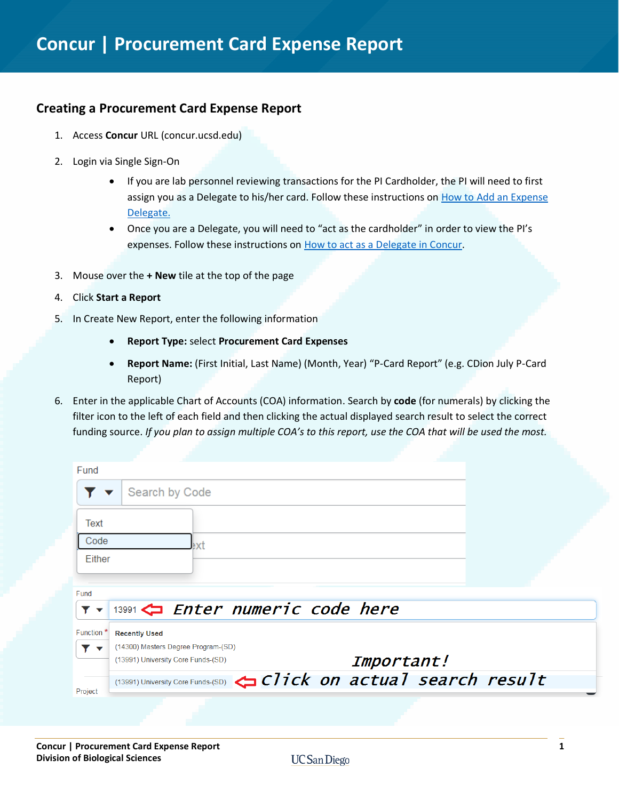## **Creating a Procurement Card Expense Report**

- 1. Access **Concur** URL (concur.ucsd.edu)
- 2. Login via Single Sign-On
	- If you are lab personnel reviewing transactions for the PI Cardholder, the PI will need to first assign you as a Delegate to his/her card. Follow these instructions on [How to Add an Expense](https://support.ucsd.edu/finance?id=kb_article_view&sys_kb_id=287c8670dba5d8104cd8f06e0f9619d1#chiquilla)  [Delegate.](https://support.ucsd.edu/finance?id=kb_article_view&sys_kb_id=287c8670dba5d8104cd8f06e0f9619d1#chiquilla)
	- Once you are a Delegate, you will need to "act as the cardholder" in order to view the PI's expenses. Follow these instructions on [How to act as a Delegate in Concur.](https://support.ucsd.edu/finance?id=kb_article_view&sys_kb_id=23dac2c9db3954946576785e0f9619a1)
- 3. Mouse over the **+ New** tile at the top of the page
- 4. Click **Start a Report**
- 5. In Create New Report, enter the following information
	- **Report Type:** select **Procurement Card Expenses**
	- **Report Name:** (First Initial, Last Name) (Month, Year) "P-Card Report" (e.g. CDion July P-Card Report)
- 6. Enter in the applicable Chart of Accounts (COA) information. Search by **code** (for numerals) by clicking the filter icon to the left of each field and then clicking the actual displayed search result to select the correct funding source. *If you plan to assign multiple COA's to this report, use the COA that will be used the most.*

| Fund                    |                                                                          |  |
|-------------------------|--------------------------------------------------------------------------|--|
| ▼                       | Search by Code                                                           |  |
| Text                    |                                                                          |  |
| Code                    |                                                                          |  |
| Either                  |                                                                          |  |
| Fund                    |                                                                          |  |
| $\overline{\mathbf{v}}$ | 13991 <>> Enter numeric code here                                        |  |
| Function <sup>*</sup>   | <b>Recently Used</b>                                                     |  |
|                         | (14300) Masters Degree Program-(SD)                                      |  |
|                         | <i>Important!</i><br>(13991) University Core Funds-(SD)                  |  |
| Project                 | (13991) University Core Funds-(SD) <a> Click on actual search result</a> |  |
|                         |                                                                          |  |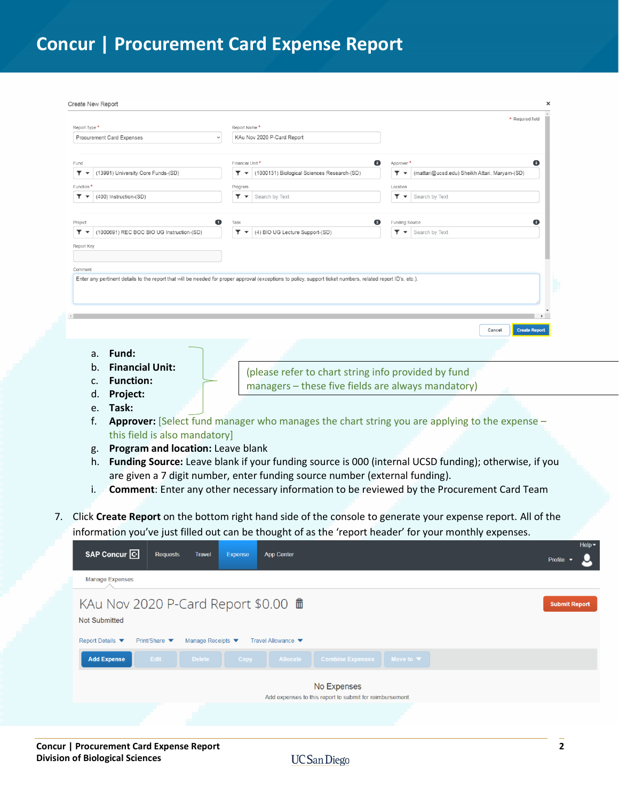| Report Type<br>Report Name<br>KAu Nov 2020 P-Card Report<br><b>Procurement Card Expenses</b><br>◙<br>Financial Unit *<br>◉<br>Fund<br>Approver <sup>*</sup><br>(1000131) Biological Sciences Research-(SD)<br>T<br>(13991) University Core Funds-(SD)<br>$\overline{r}$ $\overline{r}$<br>$\overline{\tau}$ $\overline{\tau}$<br>(mattari@ucsd.edu) Sheikh Attari, Maryam-(SD)<br>$\overline{\phantom{a}}$<br>Function<br>Program<br>Location<br>$T +$<br>$\overline{r}$ $\overline{r}$<br>$\overline{r}$ $\overline{r}$<br>(400) Instruction-(SD)<br>Search by Text<br>Search by Text<br>$\bullet$<br>O<br>◙<br>Project<br>Task<br>Funding Source<br>$\overline{r}$ $\overline{r}$<br>$\overline{r}$ $\overline{r}$<br>(1000691) REC BOC BIO UG Instruction-(SD)<br>(4) BIO UG Lecture Support-(SD)<br>T v<br>Search by Text<br>Report Key<br>Comment<br>Enter any pertinent details to the report that will be needed for proper approval (exceptions to policy, support ticket numbers, related report ID's, etc.).<br>Cancel<br><b>Create Report</b><br>Fund:<br>a.<br><b>Financial Unit:</b><br>b.<br>(please refer to chart string info provided by fund<br><b>Function:</b><br>c.<br>managers – these five fields are always mandatory)<br>Project:<br>d.<br>Task:<br>e.<br>f.<br><b>Approver:</b> [Select fund manager who manages the chart string you are applying to the expense –<br>this field is also mandatory]<br>Program and location: Leave blank<br>g.<br>Funding Source: Leave blank if your funding source is 000 (internal UCSD funding); otherwise, if you<br>h.<br>are given a 7 digit number, enter funding source number (external funding).<br><b>Comment:</b> Enter any other necessary information to be reviewed by the Procurement Card Team<br>i.<br>Click Create Report on the bottom right hand side of the console to generate your expense report. All of the<br>information you've just filled out can be thought of as the 'report header' for your monthly expenses.<br>SAP Concur <sup>C</sup><br><b>App Center</b><br><b>Requests</b><br><b>Travel</b><br><b>Expense</b><br>Profile<br><b>Manage Expenses</b><br>KAu Nov 2020 P-Card Report \$0.00 mm<br><b>Submit Report</b><br><b>Not Submitted</b><br>Report Details ▼<br>Manage Receipts ▼<br>Travel Allowance ▼<br>Print/Share $\blacktriangledown$<br><b>Delete</b><br><b>Allocate</b><br><b>Add Expense</b><br>Edit<br>Copy<br><b>Combine Expenses</b><br>Move to $\blacktriangledown$<br>No Expenses<br>Add expenses to this report to submit for reimbursement. |  |  |  | * Required field |                           |
|-------------------------------------------------------------------------------------------------------------------------------------------------------------------------------------------------------------------------------------------------------------------------------------------------------------------------------------------------------------------------------------------------------------------------------------------------------------------------------------------------------------------------------------------------------------------------------------------------------------------------------------------------------------------------------------------------------------------------------------------------------------------------------------------------------------------------------------------------------------------------------------------------------------------------------------------------------------------------------------------------------------------------------------------------------------------------------------------------------------------------------------------------------------------------------------------------------------------------------------------------------------------------------------------------------------------------------------------------------------------------------------------------------------------------------------------------------------------------------------------------------------------------------------------------------------------------------------------------------------------------------------------------------------------------------------------------------------------------------------------------------------------------------------------------------------------------------------------------------------------------------------------------------------------------------------------------------------------------------------------------------------------------------------------------------------------------------------------------------------------------------------------------------------------------------------------------------------------------------------------------------------------------------------------------------------------------------------------------------------------------------------------------------------------------------------------------------------------------------------------------------------------------------------------------------------------|--|--|--|------------------|---------------------------|
|                                                                                                                                                                                                                                                                                                                                                                                                                                                                                                                                                                                                                                                                                                                                                                                                                                                                                                                                                                                                                                                                                                                                                                                                                                                                                                                                                                                                                                                                                                                                                                                                                                                                                                                                                                                                                                                                                                                                                                                                                                                                                                                                                                                                                                                                                                                                                                                                                                                                                                                                                                   |  |  |  |                  |                           |
|                                                                                                                                                                                                                                                                                                                                                                                                                                                                                                                                                                                                                                                                                                                                                                                                                                                                                                                                                                                                                                                                                                                                                                                                                                                                                                                                                                                                                                                                                                                                                                                                                                                                                                                                                                                                                                                                                                                                                                                                                                                                                                                                                                                                                                                                                                                                                                                                                                                                                                                                                                   |  |  |  |                  |                           |
|                                                                                                                                                                                                                                                                                                                                                                                                                                                                                                                                                                                                                                                                                                                                                                                                                                                                                                                                                                                                                                                                                                                                                                                                                                                                                                                                                                                                                                                                                                                                                                                                                                                                                                                                                                                                                                                                                                                                                                                                                                                                                                                                                                                                                                                                                                                                                                                                                                                                                                                                                                   |  |  |  |                  |                           |
|                                                                                                                                                                                                                                                                                                                                                                                                                                                                                                                                                                                                                                                                                                                                                                                                                                                                                                                                                                                                                                                                                                                                                                                                                                                                                                                                                                                                                                                                                                                                                                                                                                                                                                                                                                                                                                                                                                                                                                                                                                                                                                                                                                                                                                                                                                                                                                                                                                                                                                                                                                   |  |  |  |                  |                           |
|                                                                                                                                                                                                                                                                                                                                                                                                                                                                                                                                                                                                                                                                                                                                                                                                                                                                                                                                                                                                                                                                                                                                                                                                                                                                                                                                                                                                                                                                                                                                                                                                                                                                                                                                                                                                                                                                                                                                                                                                                                                                                                                                                                                                                                                                                                                                                                                                                                                                                                                                                                   |  |  |  |                  |                           |
|                                                                                                                                                                                                                                                                                                                                                                                                                                                                                                                                                                                                                                                                                                                                                                                                                                                                                                                                                                                                                                                                                                                                                                                                                                                                                                                                                                                                                                                                                                                                                                                                                                                                                                                                                                                                                                                                                                                                                                                                                                                                                                                                                                                                                                                                                                                                                                                                                                                                                                                                                                   |  |  |  |                  |                           |
|                                                                                                                                                                                                                                                                                                                                                                                                                                                                                                                                                                                                                                                                                                                                                                                                                                                                                                                                                                                                                                                                                                                                                                                                                                                                                                                                                                                                                                                                                                                                                                                                                                                                                                                                                                                                                                                                                                                                                                                                                                                                                                                                                                                                                                                                                                                                                                                                                                                                                                                                                                   |  |  |  |                  |                           |
|                                                                                                                                                                                                                                                                                                                                                                                                                                                                                                                                                                                                                                                                                                                                                                                                                                                                                                                                                                                                                                                                                                                                                                                                                                                                                                                                                                                                                                                                                                                                                                                                                                                                                                                                                                                                                                                                                                                                                                                                                                                                                                                                                                                                                                                                                                                                                                                                                                                                                                                                                                   |  |  |  |                  |                           |
|                                                                                                                                                                                                                                                                                                                                                                                                                                                                                                                                                                                                                                                                                                                                                                                                                                                                                                                                                                                                                                                                                                                                                                                                                                                                                                                                                                                                                                                                                                                                                                                                                                                                                                                                                                                                                                                                                                                                                                                                                                                                                                                                                                                                                                                                                                                                                                                                                                                                                                                                                                   |  |  |  |                  |                           |
|                                                                                                                                                                                                                                                                                                                                                                                                                                                                                                                                                                                                                                                                                                                                                                                                                                                                                                                                                                                                                                                                                                                                                                                                                                                                                                                                                                                                                                                                                                                                                                                                                                                                                                                                                                                                                                                                                                                                                                                                                                                                                                                                                                                                                                                                                                                                                                                                                                                                                                                                                                   |  |  |  |                  |                           |
|                                                                                                                                                                                                                                                                                                                                                                                                                                                                                                                                                                                                                                                                                                                                                                                                                                                                                                                                                                                                                                                                                                                                                                                                                                                                                                                                                                                                                                                                                                                                                                                                                                                                                                                                                                                                                                                                                                                                                                                                                                                                                                                                                                                                                                                                                                                                                                                                                                                                                                                                                                   |  |  |  |                  |                           |
|                                                                                                                                                                                                                                                                                                                                                                                                                                                                                                                                                                                                                                                                                                                                                                                                                                                                                                                                                                                                                                                                                                                                                                                                                                                                                                                                                                                                                                                                                                                                                                                                                                                                                                                                                                                                                                                                                                                                                                                                                                                                                                                                                                                                                                                                                                                                                                                                                                                                                                                                                                   |  |  |  |                  |                           |
|                                                                                                                                                                                                                                                                                                                                                                                                                                                                                                                                                                                                                                                                                                                                                                                                                                                                                                                                                                                                                                                                                                                                                                                                                                                                                                                                                                                                                                                                                                                                                                                                                                                                                                                                                                                                                                                                                                                                                                                                                                                                                                                                                                                                                                                                                                                                                                                                                                                                                                                                                                   |  |  |  |                  |                           |
|                                                                                                                                                                                                                                                                                                                                                                                                                                                                                                                                                                                                                                                                                                                                                                                                                                                                                                                                                                                                                                                                                                                                                                                                                                                                                                                                                                                                                                                                                                                                                                                                                                                                                                                                                                                                                                                                                                                                                                                                                                                                                                                                                                                                                                                                                                                                                                                                                                                                                                                                                                   |  |  |  |                  |                           |
|                                                                                                                                                                                                                                                                                                                                                                                                                                                                                                                                                                                                                                                                                                                                                                                                                                                                                                                                                                                                                                                                                                                                                                                                                                                                                                                                                                                                                                                                                                                                                                                                                                                                                                                                                                                                                                                                                                                                                                                                                                                                                                                                                                                                                                                                                                                                                                                                                                                                                                                                                                   |  |  |  |                  |                           |
|                                                                                                                                                                                                                                                                                                                                                                                                                                                                                                                                                                                                                                                                                                                                                                                                                                                                                                                                                                                                                                                                                                                                                                                                                                                                                                                                                                                                                                                                                                                                                                                                                                                                                                                                                                                                                                                                                                                                                                                                                                                                                                                                                                                                                                                                                                                                                                                                                                                                                                                                                                   |  |  |  |                  |                           |
|                                                                                                                                                                                                                                                                                                                                                                                                                                                                                                                                                                                                                                                                                                                                                                                                                                                                                                                                                                                                                                                                                                                                                                                                                                                                                                                                                                                                                                                                                                                                                                                                                                                                                                                                                                                                                                                                                                                                                                                                                                                                                                                                                                                                                                                                                                                                                                                                                                                                                                                                                                   |  |  |  |                  |                           |
|                                                                                                                                                                                                                                                                                                                                                                                                                                                                                                                                                                                                                                                                                                                                                                                                                                                                                                                                                                                                                                                                                                                                                                                                                                                                                                                                                                                                                                                                                                                                                                                                                                                                                                                                                                                                                                                                                                                                                                                                                                                                                                                                                                                                                                                                                                                                                                                                                                                                                                                                                                   |  |  |  |                  |                           |
|                                                                                                                                                                                                                                                                                                                                                                                                                                                                                                                                                                                                                                                                                                                                                                                                                                                                                                                                                                                                                                                                                                                                                                                                                                                                                                                                                                                                                                                                                                                                                                                                                                                                                                                                                                                                                                                                                                                                                                                                                                                                                                                                                                                                                                                                                                                                                                                                                                                                                                                                                                   |  |  |  |                  |                           |
|                                                                                                                                                                                                                                                                                                                                                                                                                                                                                                                                                                                                                                                                                                                                                                                                                                                                                                                                                                                                                                                                                                                                                                                                                                                                                                                                                                                                                                                                                                                                                                                                                                                                                                                                                                                                                                                                                                                                                                                                                                                                                                                                                                                                                                                                                                                                                                                                                                                                                                                                                                   |  |  |  |                  |                           |
|                                                                                                                                                                                                                                                                                                                                                                                                                                                                                                                                                                                                                                                                                                                                                                                                                                                                                                                                                                                                                                                                                                                                                                                                                                                                                                                                                                                                                                                                                                                                                                                                                                                                                                                                                                                                                                                                                                                                                                                                                                                                                                                                                                                                                                                                                                                                                                                                                                                                                                                                                                   |  |  |  |                  |                           |
|                                                                                                                                                                                                                                                                                                                                                                                                                                                                                                                                                                                                                                                                                                                                                                                                                                                                                                                                                                                                                                                                                                                                                                                                                                                                                                                                                                                                                                                                                                                                                                                                                                                                                                                                                                                                                                                                                                                                                                                                                                                                                                                                                                                                                                                                                                                                                                                                                                                                                                                                                                   |  |  |  |                  |                           |
|                                                                                                                                                                                                                                                                                                                                                                                                                                                                                                                                                                                                                                                                                                                                                                                                                                                                                                                                                                                                                                                                                                                                                                                                                                                                                                                                                                                                                                                                                                                                                                                                                                                                                                                                                                                                                                                                                                                                                                                                                                                                                                                                                                                                                                                                                                                                                                                                                                                                                                                                                                   |  |  |  |                  |                           |
|                                                                                                                                                                                                                                                                                                                                                                                                                                                                                                                                                                                                                                                                                                                                                                                                                                                                                                                                                                                                                                                                                                                                                                                                                                                                                                                                                                                                                                                                                                                                                                                                                                                                                                                                                                                                                                                                                                                                                                                                                                                                                                                                                                                                                                                                                                                                                                                                                                                                                                                                                                   |  |  |  |                  |                           |
|                                                                                                                                                                                                                                                                                                                                                                                                                                                                                                                                                                                                                                                                                                                                                                                                                                                                                                                                                                                                                                                                                                                                                                                                                                                                                                                                                                                                                                                                                                                                                                                                                                                                                                                                                                                                                                                                                                                                                                                                                                                                                                                                                                                                                                                                                                                                                                                                                                                                                                                                                                   |  |  |  |                  |                           |
|                                                                                                                                                                                                                                                                                                                                                                                                                                                                                                                                                                                                                                                                                                                                                                                                                                                                                                                                                                                                                                                                                                                                                                                                                                                                                                                                                                                                                                                                                                                                                                                                                                                                                                                                                                                                                                                                                                                                                                                                                                                                                                                                                                                                                                                                                                                                                                                                                                                                                                                                                                   |  |  |  |                  |                           |
|                                                                                                                                                                                                                                                                                                                                                                                                                                                                                                                                                                                                                                                                                                                                                                                                                                                                                                                                                                                                                                                                                                                                                                                                                                                                                                                                                                                                                                                                                                                                                                                                                                                                                                                                                                                                                                                                                                                                                                                                                                                                                                                                                                                                                                                                                                                                                                                                                                                                                                                                                                   |  |  |  |                  |                           |
|                                                                                                                                                                                                                                                                                                                                                                                                                                                                                                                                                                                                                                                                                                                                                                                                                                                                                                                                                                                                                                                                                                                                                                                                                                                                                                                                                                                                                                                                                                                                                                                                                                                                                                                                                                                                                                                                                                                                                                                                                                                                                                                                                                                                                                                                                                                                                                                                                                                                                                                                                                   |  |  |  |                  |                           |
|                                                                                                                                                                                                                                                                                                                                                                                                                                                                                                                                                                                                                                                                                                                                                                                                                                                                                                                                                                                                                                                                                                                                                                                                                                                                                                                                                                                                                                                                                                                                                                                                                                                                                                                                                                                                                                                                                                                                                                                                                                                                                                                                                                                                                                                                                                                                                                                                                                                                                                                                                                   |  |  |  |                  |                           |
|                                                                                                                                                                                                                                                                                                                                                                                                                                                                                                                                                                                                                                                                                                                                                                                                                                                                                                                                                                                                                                                                                                                                                                                                                                                                                                                                                                                                                                                                                                                                                                                                                                                                                                                                                                                                                                                                                                                                                                                                                                                                                                                                                                                                                                                                                                                                                                                                                                                                                                                                                                   |  |  |  |                  |                           |
|                                                                                                                                                                                                                                                                                                                                                                                                                                                                                                                                                                                                                                                                                                                                                                                                                                                                                                                                                                                                                                                                                                                                                                                                                                                                                                                                                                                                                                                                                                                                                                                                                                                                                                                                                                                                                                                                                                                                                                                                                                                                                                                                                                                                                                                                                                                                                                                                                                                                                                                                                                   |  |  |  |                  |                           |
|                                                                                                                                                                                                                                                                                                                                                                                                                                                                                                                                                                                                                                                                                                                                                                                                                                                                                                                                                                                                                                                                                                                                                                                                                                                                                                                                                                                                                                                                                                                                                                                                                                                                                                                                                                                                                                                                                                                                                                                                                                                                                                                                                                                                                                                                                                                                                                                                                                                                                                                                                                   |  |  |  |                  |                           |
|                                                                                                                                                                                                                                                                                                                                                                                                                                                                                                                                                                                                                                                                                                                                                                                                                                                                                                                                                                                                                                                                                                                                                                                                                                                                                                                                                                                                                                                                                                                                                                                                                                                                                                                                                                                                                                                                                                                                                                                                                                                                                                                                                                                                                                                                                                                                                                                                                                                                                                                                                                   |  |  |  |                  |                           |
|                                                                                                                                                                                                                                                                                                                                                                                                                                                                                                                                                                                                                                                                                                                                                                                                                                                                                                                                                                                                                                                                                                                                                                                                                                                                                                                                                                                                                                                                                                                                                                                                                                                                                                                                                                                                                                                                                                                                                                                                                                                                                                                                                                                                                                                                                                                                                                                                                                                                                                                                                                   |  |  |  |                  |                           |
|                                                                                                                                                                                                                                                                                                                                                                                                                                                                                                                                                                                                                                                                                                                                                                                                                                                                                                                                                                                                                                                                                                                                                                                                                                                                                                                                                                                                                                                                                                                                                                                                                                                                                                                                                                                                                                                                                                                                                                                                                                                                                                                                                                                                                                                                                                                                                                                                                                                                                                                                                                   |  |  |  |                  | Help $\blacktriangledown$ |
|                                                                                                                                                                                                                                                                                                                                                                                                                                                                                                                                                                                                                                                                                                                                                                                                                                                                                                                                                                                                                                                                                                                                                                                                                                                                                                                                                                                                                                                                                                                                                                                                                                                                                                                                                                                                                                                                                                                                                                                                                                                                                                                                                                                                                                                                                                                                                                                                                                                                                                                                                                   |  |  |  |                  |                           |
|                                                                                                                                                                                                                                                                                                                                                                                                                                                                                                                                                                                                                                                                                                                                                                                                                                                                                                                                                                                                                                                                                                                                                                                                                                                                                                                                                                                                                                                                                                                                                                                                                                                                                                                                                                                                                                                                                                                                                                                                                                                                                                                                                                                                                                                                                                                                                                                                                                                                                                                                                                   |  |  |  |                  |                           |
|                                                                                                                                                                                                                                                                                                                                                                                                                                                                                                                                                                                                                                                                                                                                                                                                                                                                                                                                                                                                                                                                                                                                                                                                                                                                                                                                                                                                                                                                                                                                                                                                                                                                                                                                                                                                                                                                                                                                                                                                                                                                                                                                                                                                                                                                                                                                                                                                                                                                                                                                                                   |  |  |  |                  |                           |
|                                                                                                                                                                                                                                                                                                                                                                                                                                                                                                                                                                                                                                                                                                                                                                                                                                                                                                                                                                                                                                                                                                                                                                                                                                                                                                                                                                                                                                                                                                                                                                                                                                                                                                                                                                                                                                                                                                                                                                                                                                                                                                                                                                                                                                                                                                                                                                                                                                                                                                                                                                   |  |  |  |                  |                           |
|                                                                                                                                                                                                                                                                                                                                                                                                                                                                                                                                                                                                                                                                                                                                                                                                                                                                                                                                                                                                                                                                                                                                                                                                                                                                                                                                                                                                                                                                                                                                                                                                                                                                                                                                                                                                                                                                                                                                                                                                                                                                                                                                                                                                                                                                                                                                                                                                                                                                                                                                                                   |  |  |  |                  |                           |
|                                                                                                                                                                                                                                                                                                                                                                                                                                                                                                                                                                                                                                                                                                                                                                                                                                                                                                                                                                                                                                                                                                                                                                                                                                                                                                                                                                                                                                                                                                                                                                                                                                                                                                                                                                                                                                                                                                                                                                                                                                                                                                                                                                                                                                                                                                                                                                                                                                                                                                                                                                   |  |  |  |                  |                           |
|                                                                                                                                                                                                                                                                                                                                                                                                                                                                                                                                                                                                                                                                                                                                                                                                                                                                                                                                                                                                                                                                                                                                                                                                                                                                                                                                                                                                                                                                                                                                                                                                                                                                                                                                                                                                                                                                                                                                                                                                                                                                                                                                                                                                                                                                                                                                                                                                                                                                                                                                                                   |  |  |  |                  |                           |
|                                                                                                                                                                                                                                                                                                                                                                                                                                                                                                                                                                                                                                                                                                                                                                                                                                                                                                                                                                                                                                                                                                                                                                                                                                                                                                                                                                                                                                                                                                                                                                                                                                                                                                                                                                                                                                                                                                                                                                                                                                                                                                                                                                                                                                                                                                                                                                                                                                                                                                                                                                   |  |  |  |                  |                           |
|                                                                                                                                                                                                                                                                                                                                                                                                                                                                                                                                                                                                                                                                                                                                                                                                                                                                                                                                                                                                                                                                                                                                                                                                                                                                                                                                                                                                                                                                                                                                                                                                                                                                                                                                                                                                                                                                                                                                                                                                                                                                                                                                                                                                                                                                                                                                                                                                                                                                                                                                                                   |  |  |  |                  |                           |
|                                                                                                                                                                                                                                                                                                                                                                                                                                                                                                                                                                                                                                                                                                                                                                                                                                                                                                                                                                                                                                                                                                                                                                                                                                                                                                                                                                                                                                                                                                                                                                                                                                                                                                                                                                                                                                                                                                                                                                                                                                                                                                                                                                                                                                                                                                                                                                                                                                                                                                                                                                   |  |  |  |                  |                           |
|                                                                                                                                                                                                                                                                                                                                                                                                                                                                                                                                                                                                                                                                                                                                                                                                                                                                                                                                                                                                                                                                                                                                                                                                                                                                                                                                                                                                                                                                                                                                                                                                                                                                                                                                                                                                                                                                                                                                                                                                                                                                                                                                                                                                                                                                                                                                                                                                                                                                                                                                                                   |  |  |  |                  |                           |
|                                                                                                                                                                                                                                                                                                                                                                                                                                                                                                                                                                                                                                                                                                                                                                                                                                                                                                                                                                                                                                                                                                                                                                                                                                                                                                                                                                                                                                                                                                                                                                                                                                                                                                                                                                                                                                                                                                                                                                                                                                                                                                                                                                                                                                                                                                                                                                                                                                                                                                                                                                   |  |  |  |                  |                           |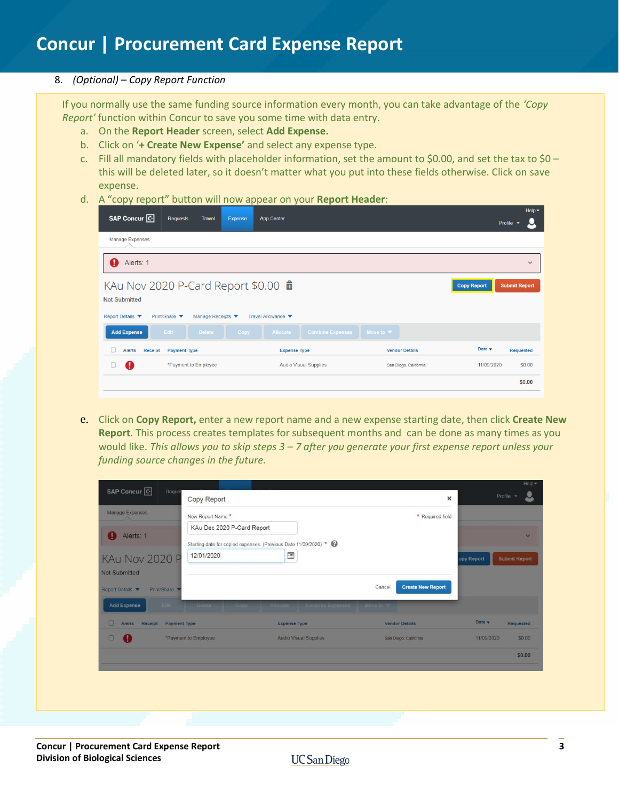# **Concur | Procurement Card Expense Report**

### 8. *(Optional) – Copy Report Function*

If you normally use the same funding source information every month, you can take advantage of the *'Copy Report'* function within Concur to save you some time with data entry.

- a. On the **Report Header** screen, select **Add Expense.**
- b. Click on '**+ Create New Expense'** and select any expense type.
- c. Fill all mandatory fields with placeholder information, set the amount to \$0.00, and set the tax to \$0 this will be deleted later, so it doesn't matter what you put into these fields otherwise. Click on save expense.
- d. A "copy report" button will now appear on your **Report Header**:

| SAP Concur <sup>C</sup><br><b>Requests</b><br><b>Travel</b>                                                                   | Expense<br><b>App Center</b>                       |                       | Help $\blacktriangledown$<br>Profile<br>$\overline{\phantom{a}}$ |
|-------------------------------------------------------------------------------------------------------------------------------|----------------------------------------------------|-----------------------|------------------------------------------------------------------|
| <b>Manage Expenses</b>                                                                                                        |                                                    |                       |                                                                  |
| Alerts: 1<br>П                                                                                                                |                                                    |                       | $\checkmark$                                                     |
| KAu Nov 2020 P-Card Report \$0.00 mm<br><b>Not Submitted</b><br><b>Report Details ▼</b><br>Manage Receipts ▼<br>Print/Share ▼ | Travel Allowance ▼                                 |                       | <b>Submit Report</b><br><b>Copy Report</b>                       |
| Edit<br><b>Delete</b><br><b>Add Expense</b>                                                                                   | <b>Allocate</b><br>Copy<br><b>Combine Expenses</b> | Move to $\Psi$        |                                                                  |
| Receipt<br><b>Payment Type</b><br><b>Alerts</b>                                                                               | <b>Expense Type</b>                                | <b>Vendor Details</b> | Date $\mathbf v$<br><b>Requested</b>                             |
| O<br>*Payment to Employee                                                                                                     | <b>Audio Visual Supplies</b>                       | San Diego, California | \$0.00<br>11/09/2020                                             |
|                                                                                                                               |                                                    |                       | \$0.00                                                           |

e. Click on **Copy Report,** enter a new report name and a new expense starting date, then click **Create New Report**. This process creates templates for subsequent months and can be done as many times as you would like. *This allows you to skip steps 3 – 7 after you generate your first expense report unless your funding source changes in the future.*

| SAP Concur <sup>C</sup><br>Manage Expenses<br>Alerts: 1<br>O<br>KAu Nov 2020 P<br>Not Submitted | Reques<br>Copy Report<br>New Report Name*<br>KAu Dec 2020 P-Card Report<br>12/01/2020 | Starting date for copied expenses. (Previous Date 11/09/2020) *<br>$\overline{\mathbf{m}}$ | $\times$<br>* Required field       | opy Report | Profile -<br><b>Submit Report</b> | g<br>V |
|-------------------------------------------------------------------------------------------------|---------------------------------------------------------------------------------------|--------------------------------------------------------------------------------------------|------------------------------------|------------|-----------------------------------|--------|
| Report Details<br>Print/Share<br><b>Add Expense</b><br>Edit                                     | Deletermini<br>Copy                                                                   | Allocated<br>Combine Expenses   Move to V                                                  | <b>Create New Report</b><br>Cancel |            |                                   |        |
| $\Box$<br>Alerts Receipt Payment Type                                                           |                                                                                       | <b>Expense Type</b>                                                                        | <b>Vendor Details</b>              | Date v     | Requested                         |        |
| $\Box$<br>п.                                                                                    | *Payment to Employee                                                                  | <b>Audio Visual Supplies</b>                                                               | San Diego, California              | 11/09/2020 |                                   | \$0.00 |
|                                                                                                 |                                                                                       |                                                                                            |                                    |            |                                   | \$0.00 |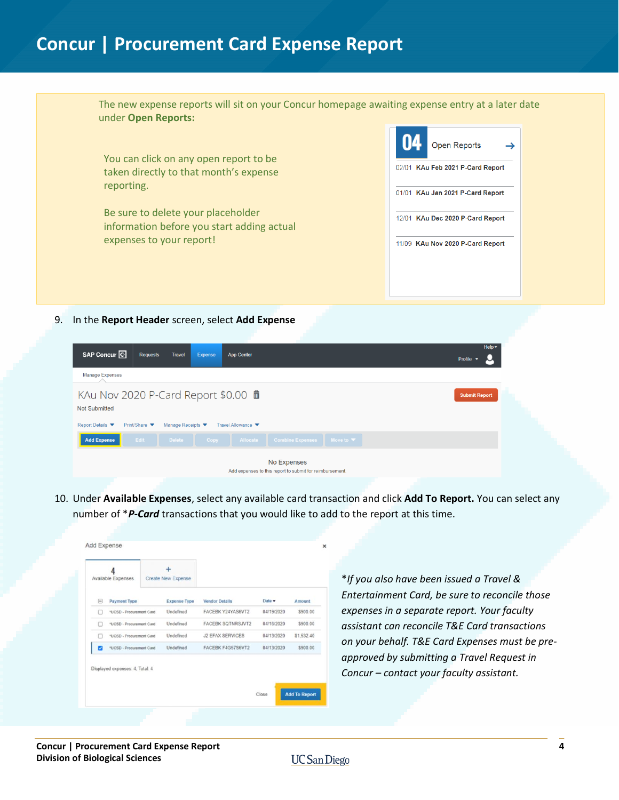# **Concur | Procurement Card Expense Report**



9. In the **Report Header** screen, select **Add Expense**

| SAP Concur <sup>C</sup>                  | <b>Requests</b><br><b>Travel</b>                      | <b>App Center</b><br><b>Expense</b>                        |                                                                         | Help $\blacktriangledown$<br>Profile |
|------------------------------------------|-------------------------------------------------------|------------------------------------------------------------|-------------------------------------------------------------------------|--------------------------------------|
| <b>Manage Expenses</b>                   |                                                       |                                                            |                                                                         |                                      |
| <b>Not Submitted</b><br>Report Details ▼ | Manage Receipts ▼<br>Print/Share $\blacktriangledown$ | KAu Nov 2020 P-Card Report \$0.00 mm<br>Travel Allowance ▼ |                                                                         | <b>Submit Report</b>                 |
| <b>Add Expense</b>                       | Edit<br><b>Delete</b>                                 | Copy<br>Allocate                                           | <b>Combine Expenses</b><br>Move to $\Psi$                               |                                      |
|                                          |                                                       |                                                            | No Expenses<br>Add expenses to this report to submit for reimbursement. |                                      |

10. Under **Available Expenses**, select any available card transaction and click **Add To Report.** You can select any number of \**P-Card* transactions that you would like to add to the report at this time.

| <b>Available Expenses</b>          |                          | <b>Create New Expense</b> |                          |            |            | *If you also have been issued a Travel &       |
|------------------------------------|--------------------------|---------------------------|--------------------------|------------|------------|------------------------------------------------|
| $\boxed{-}$<br><b>Payment Type</b> |                          | <b>Expense Type</b>       | <b>Vendor Details</b>    | $Data -$   | Amount     | Entertainment Card, be sure to reconcile those |
|                                    | *UCSD - Procurement Card | Undefined                 | FACEBK Y24YAS6VT2        | 04/19/2020 | \$900.00   | expenses in a separate report. Your faculty    |
|                                    | *UCSD - Procurement Card | Undefined                 | <b>FACEBK SQTNRSJVT2</b> | 04/16/2020 | \$900.00   | assistant can reconcile T&E Card transactions  |
|                                    | *UCSD - Procurement Card | Undefined                 | <b>J2 EFAX SERVICES</b>  | 04/13/2020 | \$1,532.40 | on your behalf. T&E Card Expenses must be pre- |
|                                    | *UCSD - Procurement Card | Undefined                 | FACEBK F4G57S6VT2        | 04/13/2020 | \$900.00   | approved by submitting a Travel Request in     |
| Displayed expenses: 4, Total: 4    |                          |                           |                          |            |            | Concur - contact your faculty assistant.       |

**UC** San Diego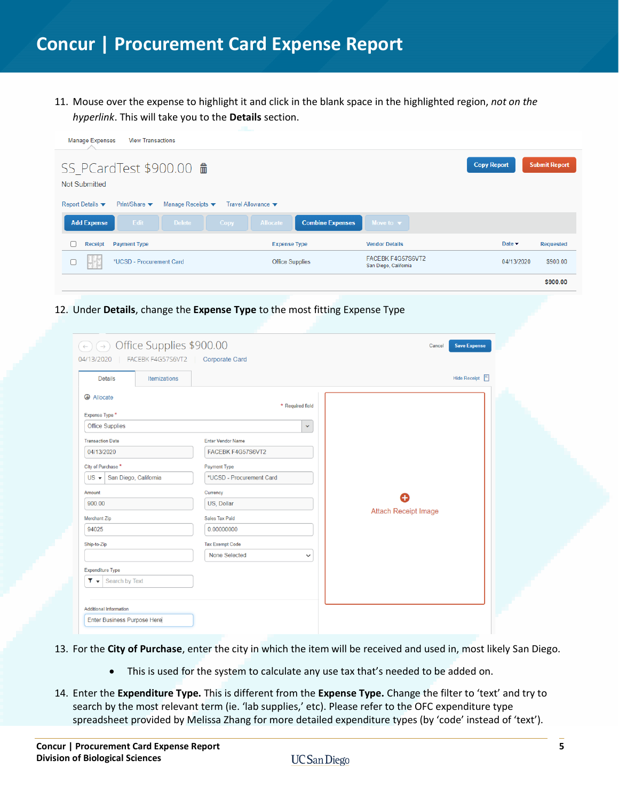11. Mouse over the expense to highlight it and click in the blank space in the highlighted region, *not on the hyperlink*. This will take you to the **Details** section.

| <b>Manage Expenses</b>  | <b>View Transactions</b>                                                  |                                            |                                            |                            |                  |  |  |  |  |
|-------------------------|---------------------------------------------------------------------------|--------------------------------------------|--------------------------------------------|----------------------------|------------------|--|--|--|--|
| <b>Not Submitted</b>    | <b>Copy Report</b><br><b>Submit Report</b><br>SS PCardTest $$900.00$ m    |                                            |                                            |                            |                  |  |  |  |  |
| <b>Report Details ▼</b> | Manage Receipts<br>Travel Allowance ▼<br>Print/Share $\blacktriangledown$ |                                            |                                            |                            |                  |  |  |  |  |
| <b>Add Expense</b>      | Edit<br><b>Delete</b><br>Copy                                             | <b>Combine Expenses</b><br><b>Allocate</b> | Move to $\blacktriangledown$               |                            |                  |  |  |  |  |
| Receipt                 | <b>Payment Type</b>                                                       | <b>Expense Type</b>                        | <b>Vendor Details</b>                      | Date $\blacktriangleright$ | <b>Requested</b> |  |  |  |  |
|                         | *UCSD - Procurement Card                                                  | <b>Office Supplies</b>                     | FACEBK F4G57S6VT2<br>San Diego, California | 04/13/2020                 | \$900.00         |  |  |  |  |
|                         |                                                                           |                                            |                                            |                            | \$900.00         |  |  |  |  |

12. Under **Details**, change the **Expense Type** to the most fitting Expense Type

| <b>Details</b><br><b>Itemizations</b>                      |                                     |                             | Hide Receipt $\Box$ |  |
|------------------------------------------------------------|-------------------------------------|-----------------------------|---------------------|--|
| Allocate<br>Expense Type *                                 | * Required field                    |                             |                     |  |
| <b>Office Supplies</b>                                     | $\checkmark$                        |                             |                     |  |
| <b>Transaction Date</b>                                    | <b>Enter Vendor Name</b>            |                             |                     |  |
| 04/13/2020                                                 | FACEBK F4G57S6VT2                   |                             |                     |  |
| City of Purchase *                                         | Payment Type                        |                             |                     |  |
| San Diego, California<br>$US -$                            | *UCSD - Procurement Card            |                             |                     |  |
| Amount                                                     | Currency                            |                             |                     |  |
| 900.00                                                     | US, Dollar                          |                             |                     |  |
| Merchant Zip                                               | Sales Tax Paid                      | <b>Attach Receipt Image</b> |                     |  |
| 94025                                                      | 0.00000000                          |                             |                     |  |
| Ship-to-Zip                                                | <b>Tax Exempt Code</b>              |                             |                     |  |
|                                                            | <b>None Selected</b><br>$\check{~}$ |                             |                     |  |
| <b>Expenditure Type</b>                                    |                                     |                             |                     |  |
| $\blacktriangleright$ $\blacktriangleright$ Search by Text |                                     |                             |                     |  |
|                                                            |                                     |                             |                     |  |

- 13. For the **City of Purchase**, enter the city in which the item will be received and used in, most likely San Diego.
	- This is used for the system to calculate any use tax that's needed to be added on.
- 14. Enter the **Expenditure Type.** This is different from the **Expense Type.** Change the filter to 'text' and try to search by the most relevant term (ie. 'lab supplies,' etc). Please refer to the OFC expenditure type spreadsheet provided by Melissa Zhang for more detailed expenditure types (by 'code' instead of 'text').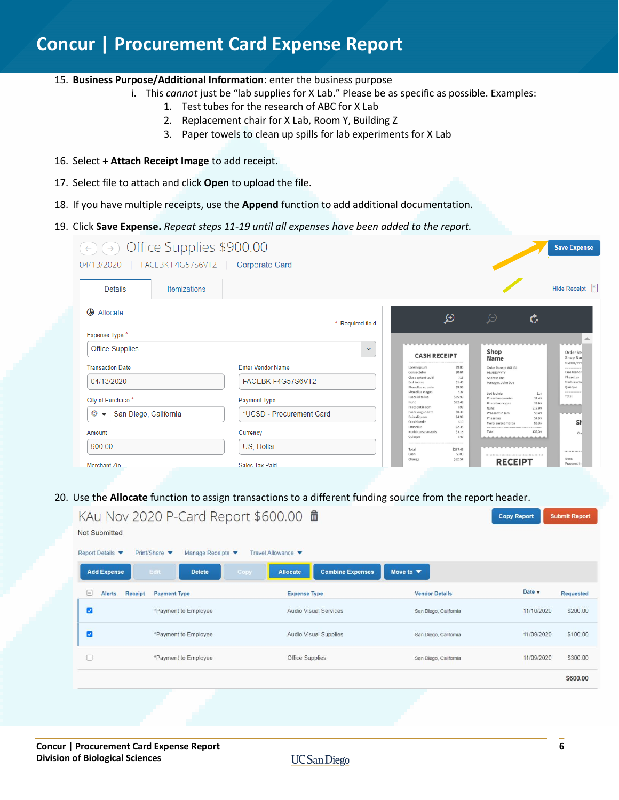# **Concur | Procurement Card Expense Report**

- 15. **Business Purpose/Additional Information**: enter the business purpose
	- i. This *cannot* just be "lab supplies for X Lab." Please be as specific as possible. Examples:
		- 1. Test tubes for the research of ABC for X Lab
		- 2. Replacement chair for X Lab, Room Y, Building Z
		- 3. Paper towels to clean up spills for lab experiments for X Lab
- 16. Select **+ Attach Receipt Image** to add receipt.
- 17. Select file to attach and click **Open** to upload the file.
- 18. If you have multiple receipts, use the **Append** function to add additional documentation.
- 19. Click **Save Expense.** *Repeat steps 11-19 until all expenses have been added to the report.*

| Details                                                        | <b>Itemizations</b>                                       |                                                                                                                                                                                                       |                         |                                                                                 |                                                                                   | Hide Receipt F                                       |
|----------------------------------------------------------------|-----------------------------------------------------------|-------------------------------------------------------------------------------------------------------------------------------------------------------------------------------------------------------|-------------------------|---------------------------------------------------------------------------------|-----------------------------------------------------------------------------------|------------------------------------------------------|
| <b>Allocate</b><br>Expense Type *                              |                                                           |                                                                                                                                                                                                       | * Required field        | $\bigoplus$                                                                     | $\Theta$<br>Ğ                                                                     |                                                      |
| Office Supplies                                                |                                                           |                                                                                                                                                                                                       | $\checkmark$            |                                                                                 |                                                                                   |                                                      |
|                                                                |                                                           |                                                                                                                                                                                                       |                         | <b>CASH RECEIPT</b>                                                             | Shop<br>Name                                                                      | Order Re<br>Shop Nai<br>MM/DD/YYY                    |
| <b>Transaction Date</b>                                        |                                                           | <b>Enter Vendor Name</b><br>FACEBK F4G57S6VT2                                                                                                                                                         |                         | Lorem ipsum<br>\$9.85<br>Consectetur<br>\$0.64<br>\$18<br>Class aptent taciti   | Order Receipt #67131<br>MN/DD/YYYY<br>Address line                                | Cras blandi<br>Phasellus                             |
| 04/13/2020                                                     |                                                           |                                                                                                                                                                                                       |                         | Sed lacinia<br>\$1,49<br>Phasellus eu enim<br>\$9.99<br>Phasellus magna<br>\$37 | Manager: John Doe<br>Sed Jacinia<br>\$18                                          | Morbi cursu<br>Quisque<br>Total                      |
| City of Purchase *                                             |                                                           | <b>Payment Type</b>                                                                                                                                                                                   |                         | Fusce id tellus<br>\$15.99<br>\$12.49<br>Nunc<br>Praesent in sem<br>\$99        | Phasellus eu enim<br>\$1.49<br>Phasellus magna<br>\$9.99<br>\$15.99<br>Nunc       |                                                      |
| ⊕<br>$\overline{\mathbf{v}}$                                   | San Diego, California                                     | *UCSD - Procurement Card                                                                                                                                                                              |                         | Fusce augue ante<br>\$0.49<br>\$4.99<br>Duis aliquan<br>Cras blandit<br>\$19    | \$0.49<br>Praesent in sem<br>Phasellus<br>\$4.99<br>Morbi cursus mattis<br>\$2.35 |                                                      |
| Amount                                                         |                                                           | Currency                                                                                                                                                                                              |                         | \$2.35<br>Phasellus<br>Morbi cursus mattis<br>\$7.18<br>Quisque<br>\$49         | \$53,30<br>Total                                                                  |                                                      |
|                                                                |                                                           |                                                                                                                                                                                                       |                         |                                                                                 |                                                                                   |                                                      |
| 900.00                                                         |                                                           | US, Dollar                                                                                                                                                                                            |                         | Total<br>\$287,46                                                               |                                                                                   |                                                      |
| Merchant 7in                                                   |                                                           | <b>Sales Tax Paid</b>                                                                                                                                                                                 |                         | Cash<br>\$300<br>\$12.54<br>Change                                              | <b>RECEIPT</b>                                                                    |                                                      |
| Not Submitted<br><b>Report Details ▼</b><br><b>Add Expense</b> | Print/Share<br>Manage Receipts ▼<br>Edit<br><b>Delete</b> | 20. Use the Allocate function to assign transactions to a different funding source from the report header.<br>KAu Nov 2020 P-Card Report \$600.00 mm<br>Travel Allowance ▼<br>Copy<br><b>Allocate</b> | <b>Combine Expenses</b> | Move to $\blacktriangledown$                                                    | <b>Copy Report</b>                                                                |                                                      |
| ⊟<br>Alerts<br>Receipt                                         | <b>Payment Type</b>                                       | <b>Expense Type</b>                                                                                                                                                                                   |                         | <b>Vendor Details</b>                                                           | Date v                                                                            | Praesent<br><b>Submit Report</b><br><b>Requested</b> |
| $\overline{\mathbf{z}}$                                        | *Payment to Employee                                      | <b>Audio Visual Services</b>                                                                                                                                                                          |                         | San Diego, California                                                           | 11/10/2020                                                                        | \$200.00                                             |
| $\mathbf{z}$                                                   | *Payment to Employee                                      | <b>Audio Visual Supplies</b>                                                                                                                                                                          |                         | San Diego, California                                                           | 11/09/2020                                                                        | \$100.00                                             |